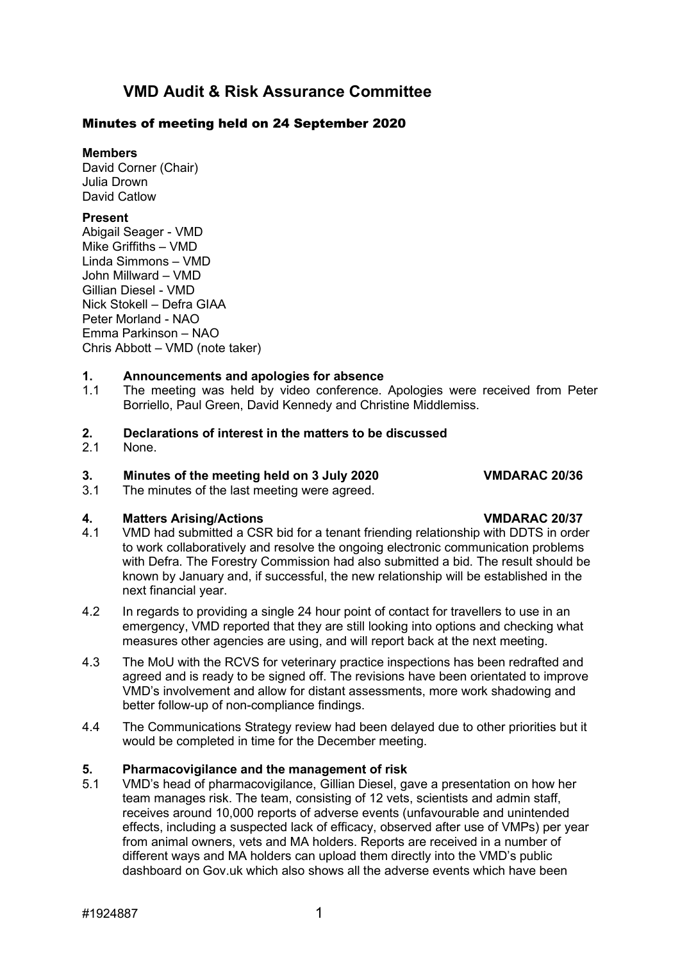## **VMD Audit & Risk Assurance Committee**

### Minutes of meeting held on 24 September 2020

**Members**

David Corner (Chair) Julia Drown David Catlow

### **Present**

Abigail Seager - VMD Mike Griffiths – VMD Linda Simmons – VMD John Millward – VMD Gillian Diesel - VMD Nick Stokell – Defra GIAA Peter Morland - NAO Emma Parkinson – NAO Chris Abbott – VMD (note taker)

# **1. Announcements and apologies for absence**

The meeting was held by video conference. Apologies were received from Peter Borriello, Paul Green, David Kennedy and Christine Middlemiss.

# **2. Declarations of interest in the matters to be discussed**

None.

# **3. Minutes of the meeting held on 3 July 2020 VMDARAC 20/36**

The minutes of the last meeting were agreed.

### **4. Matters Arising/Actions VMDARAC 20/37** 4.1 VMD had submitted a CSR bid for a tenant friending relationship with DDTS in order to work collaboratively and resolve the ongoing electronic communication problems with Defra. The Forestry Commission had also submitted a bid. The result should be known by January and, if successful, the new relationship will be established in the next financial year.

- 4.2 In regards to providing a single 24 hour point of contact for travellers to use in an emergency, VMD reported that they are still looking into options and checking what measures other agencies are using, and will report back at the next meeting.
- 4.3 The MoU with the RCVS for veterinary practice inspections has been redrafted and agreed and is ready to be signed off. The revisions have been orientated to improve VMD's involvement and allow for distant assessments, more work shadowing and better follow-up of non-compliance findings.
- 4.4 The Communications Strategy review had been delayed due to other priorities but it would be completed in time for the December meeting.

# **5. Pharmacovigilance and the management of risk**

5.1 VMD's head of pharmacovigilance, Gillian Diesel, gave a presentation on how her team manages risk. The team, consisting of 12 vets, scientists and admin staff, receives around 10,000 reports of adverse events (unfavourable and unintended effects, including a suspected lack of efficacy, observed after use of VMPs) per year from animal owners, vets and MA holders. Reports are received in a number of different ways and MA holders can upload them directly into the VMD's public dashboard on Gov.uk which also shows all the adverse events which have been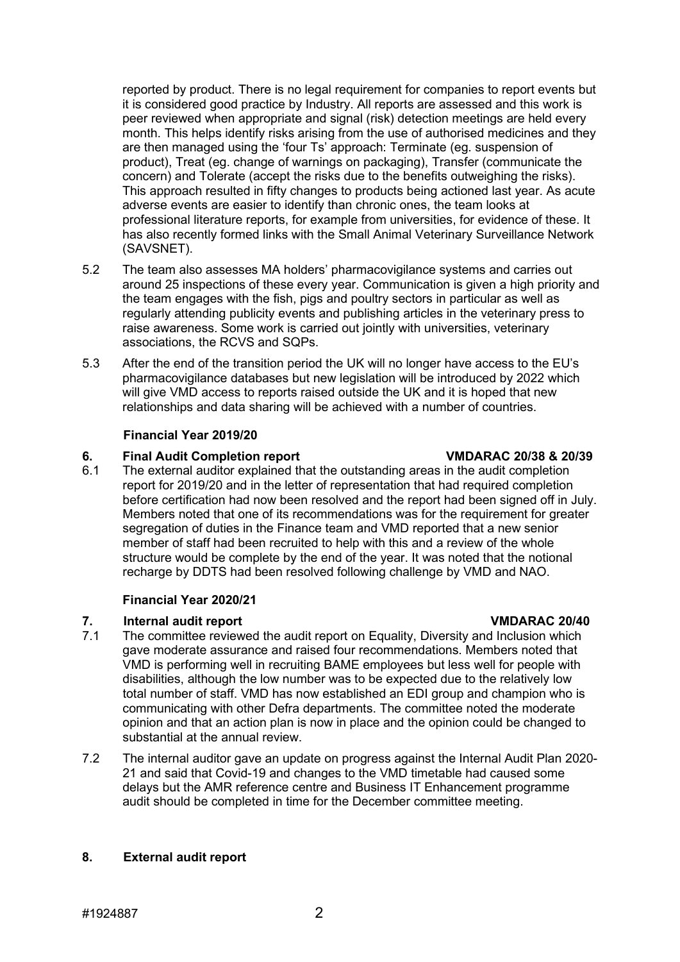reported by product. There is no legal requirement for companies to report events but it is considered good practice by Industry. All reports are assessed and this work is peer reviewed when appropriate and signal (risk) detection meetings are held every month. This helps identify risks arising from the use of authorised medicines and they are then managed using the 'four Ts' approach: Terminate (eg. suspension of product), Treat (eg. change of warnings on packaging), Transfer (communicate the concern) and Tolerate (accept the risks due to the benefits outweighing the risks). This approach resulted in fifty changes to products being actioned last year. As acute adverse events are easier to identify than chronic ones, the team looks at professional literature reports, for example from universities, for evidence of these. It has also recently formed links with the Small Animal Veterinary Surveillance Network (SAVSNET).

- 5.2 The team also assesses MA holders' pharmacovigilance systems and carries out around 25 inspections of these every year. Communication is given a high priority and the team engages with the fish, pigs and poultry sectors in particular as well as regularly attending publicity events and publishing articles in the veterinary press to raise awareness. Some work is carried out jointly with universities, veterinary associations, the RCVS and SQPs.
- 5.3 After the end of the transition period the UK will no longer have access to the EU's pharmacovigilance databases but new legislation will be introduced by 2022 which will give VMD access to reports raised outside the UK and it is hoped that new relationships and data sharing will be achieved with a number of countries.

### **Financial Year 2019/20**

**6. Final Audit Completion report VMDARAC 20/38 & 20/39** The external auditor explained that the outstanding areas in the audit completion report for 2019/20 and in the letter of representation that had required completion before certification had now been resolved and the report had been signed off in July. Members noted that one of its recommendations was for the requirement for greater segregation of duties in the Finance team and VMD reported that a new senior member of staff had been recruited to help with this and a review of the whole structure would be complete by the end of the year. It was noted that the notional recharge by DDTS had been resolved following challenge by VMD and NAO.

## **Financial Year 2020/21**

- **7. Internal audit report Internal audit report**<br>**7.1** The committee reviewed the audit report on Fouality Diversity and Inclusion which The committee reviewed the audit report on Equality, Diversity and Inclusion which gave moderate assurance and raised four recommendations. Members noted that VMD is performing well in recruiting BAME employees but less well for people with disabilities, although the low number was to be expected due to the relatively low total number of staff. VMD has now established an EDI group and champion who is communicating with other Defra departments. The committee noted the moderate opinion and that an action plan is now in place and the opinion could be changed to substantial at the annual review.
- 7.2 The internal auditor gave an update on progress against the Internal Audit Plan 2020- 21 and said that Covid-19 and changes to the VMD timetable had caused some delays but the AMR reference centre and Business IT Enhancement programme audit should be completed in time for the December committee meeting.

## **8. External audit report**